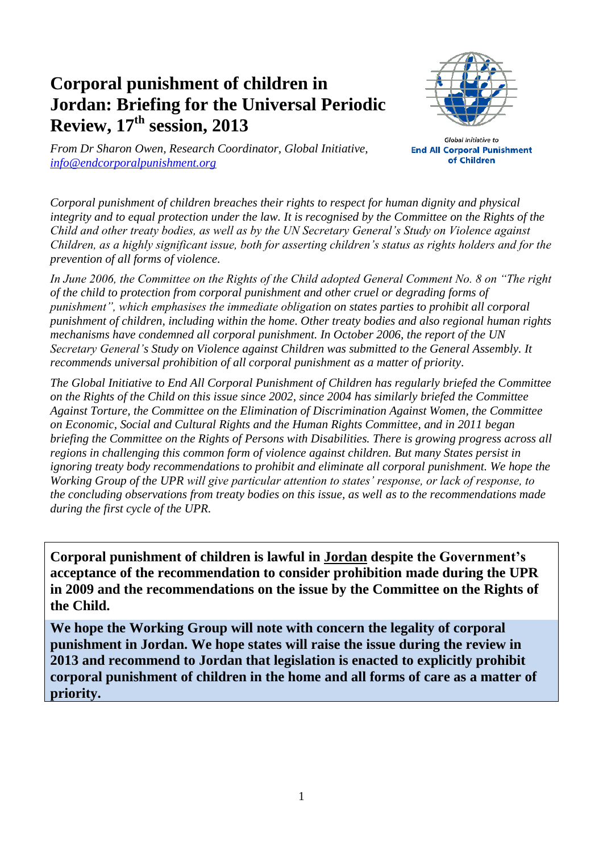## **Corporal punishment of children in Jordan: Briefing for the Universal Periodic Review, 17th session, 2013**



*From Dr Sharon Owen, Research Coordinator, Global Initiative, [info@endcorporalpunishment.org](mailto:info@endcorporalpunishment.org)*

**Global Initiative to End All Corporal Punishment** of Children

*Corporal punishment of children breaches their rights to respect for human dignity and physical integrity and to equal protection under the law. It is recognised by the Committee on the Rights of the Child and other treaty bodies, as well as by the UN Secretary General's Study on Violence against Children, as a highly significant issue, both for asserting children's status as rights holders and for the prevention of all forms of violence.*

*In June 2006, the Committee on the Rights of the Child adopted General Comment No. 8 on "The right of the child to protection from corporal punishment and other cruel or degrading forms of punishment", which emphasises the immediate obligation on states parties to prohibit all corporal punishment of children, including within the home. Other treaty bodies and also regional human rights mechanisms have condemned all corporal punishment. In October 2006, the report of the UN Secretary General's Study on Violence against Children was submitted to the General Assembly. It recommends universal prohibition of all corporal punishment as a matter of priority.*

*The Global Initiative to End All Corporal Punishment of Children has regularly briefed the Committee on the Rights of the Child on this issue since 2002, since 2004 has similarly briefed the Committee Against Torture, the Committee on the Elimination of Discrimination Against Women, the Committee on Economic, Social and Cultural Rights and the Human Rights Committee, and in 2011 began briefing the Committee on the Rights of Persons with Disabilities. There is growing progress across all regions in challenging this common form of violence against children. But many States persist in ignoring treaty body recommendations to prohibit and eliminate all corporal punishment. We hope the Working Group of the UPR will give particular attention to states' response, or lack of response, to the concluding observations from treaty bodies on this issue, as well as to the recommendations made during the first cycle of the UPR.*

**Corporal punishment of children is lawful in Jordan despite the Government's acceptance of the recommendation to consider prohibition made during the UPR in 2009 and the recommendations on the issue by the Committee on the Rights of the Child.**

**We hope the Working Group will note with concern the legality of corporal punishment in Jordan. We hope states will raise the issue during the review in 2013 and recommend to Jordan that legislation is enacted to explicitly prohibit corporal punishment of children in the home and all forms of care as a matter of priority.**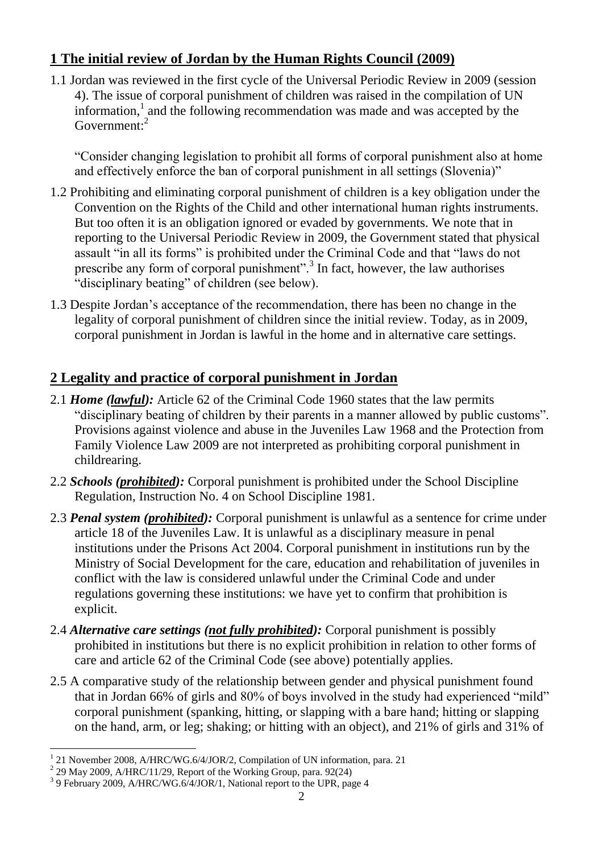## **1 The initial review of Jordan by the Human Rights Council (2009)**

1.1 Jordan was reviewed in the first cycle of the Universal Periodic Review in 2009 (session 4). The issue of corporal punishment of children was raised in the compilation of UN information, $<sup>1</sup>$  and the following recommendation was made and was accepted by the</sup> Government:<sup>2</sup>

"Consider changing legislation to prohibit all forms of corporal punishment also at home and effectively enforce the ban of corporal punishment in all settings (Slovenia)"

- 1.2 Prohibiting and eliminating corporal punishment of children is a key obligation under the Convention on the Rights of the Child and other international human rights instruments. But too often it is an obligation ignored or evaded by governments. We note that in reporting to the Universal Periodic Review in 2009, the Government stated that physical assault "in all its forms" is prohibited under the Criminal Code and that "laws do not prescribe any form of corporal punishment".<sup>3</sup> In fact, however, the law authorises "disciplinary beating" of children (see below).
- 1.3 Despite Jordan's acceptance of the recommendation, there has been no change in the legality of corporal punishment of children since the initial review. Today, as in 2009, corporal punishment in Jordan is lawful in the home and in alternative care settings.

## **2 Legality and practice of corporal punishment in Jordan**

- 2.1 *Home (lawful):* Article 62 of the Criminal Code 1960 states that the law permits "disciplinary beating of children by their parents in a manner allowed by public customs". Provisions against violence and abuse in the Juveniles Law 1968 and the Protection from Family Violence Law 2009 are not interpreted as prohibiting corporal punishment in childrearing.
- 2.2 *Schools (prohibited):* Corporal punishment is prohibited under the School Discipline Regulation, Instruction No. 4 on School Discipline 1981.
- 2.3 *Penal system (prohibited):* Corporal punishment is unlawful as a sentence for crime under article 18 of the Juveniles Law. It is unlawful as a disciplinary measure in penal institutions under the Prisons Act 2004. Corporal punishment in institutions run by the Ministry of Social Development for the care, education and rehabilitation of juveniles in conflict with the law is considered unlawful under the Criminal Code and under regulations governing these institutions: we have yet to confirm that prohibition is explicit.
- 2.4 *Alternative care settings (not fully prohibited):* Corporal punishment is possibly prohibited in institutions but there is no explicit prohibition in relation to other forms of care and article 62 of the Criminal Code (see above) potentially applies.
- 2.5 A comparative study of the relationship between gender and physical punishment found that in Jordan 66% of girls and 80% of boys involved in the study had experienced "mild" corporal punishment (spanking, hitting, or slapping with a bare hand; hitting or slapping on the hand, arm, or leg; shaking; or hitting with an object), and 21% of girls and 31% of

 $\overline{a}$ <sup>1</sup> 21 November 2008, A/HRC/WG.6/4/JOR/2, Compilation of UN information, para. 21

 $2$  29 May 2009, A/HRC/11/29, Report of the Working Group, para. 92(24)

<sup>&</sup>lt;sup>3</sup> 9 February 2009, A/HRC/WG.6/4/JOR/1, National report to the UPR, page 4